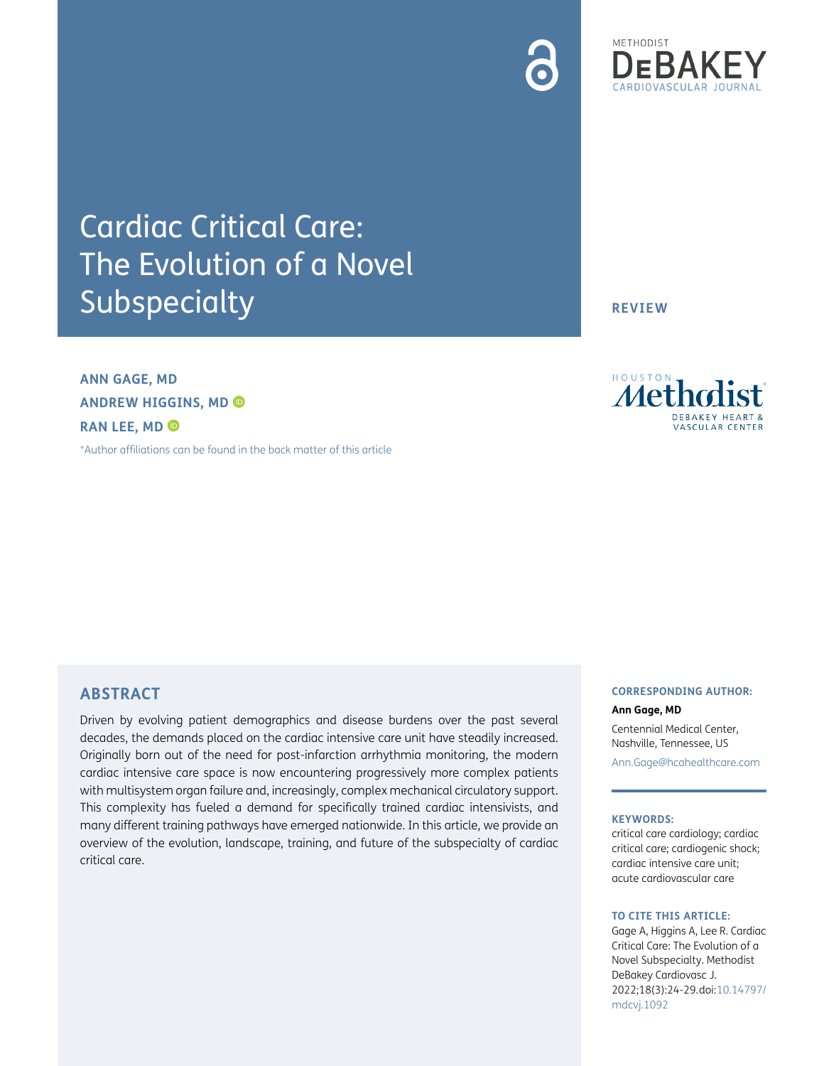



# Cardiac Critical Care: The Evolution of a Novel **Subspecialty**

**ANN GAGE, MD ANDREW HIGGINS, MD RAN LEE, MD**

[\\*Author affiliations can be found in the back matter of this article](#page-4-0)

**REVIEW**



## **ABSTRACT**

Driven by evolving patient demographics and disease burdens over the past several decades, the demands placed on the cardiac intensive care unit have steadily increased. Originally born out of the need for post-infarction arrhythmia monitoring, the modern cardiac intensive care space is now encountering progressively more complex patients with multisystem organ failure and, increasingly, complex mechanical circulatory support. This complexity has fueled a demand for specifically trained cardiac intensivists, and many different training pathways have emerged nationwide. In this article, we provide an overview of the evolution, landscape, training, and future of the subspecialty of cardiac critical care.

### **CORRESPONDING AUTHOR: Ann Gage, MD**

Centennial Medical Center, Nashville, Tennessee, US [Ann.Gage@hcahealthcare.com](mailto:Ann.Gage@hcahealthcare.com)

#### **KEYWORDS:**

critical care cardiology; cardiac critical care; cardiogenic shock; cardiac intensive care unit; acute cardiovascular care

#### **TO CITE THIS ARTICLE:**

Gage A, Higgins A, Lee R. Cardiac Critical Care: The Evolution of a Novel Subspecialty. Methodist DeBakey Cardiovasc J. 2022;18(3):24-29. doi: [10.14797/](https://doi.org/10.14797/mdcvj.1092) [mdcvj.1092](https://doi.org/10.14797/mdcvj.1092)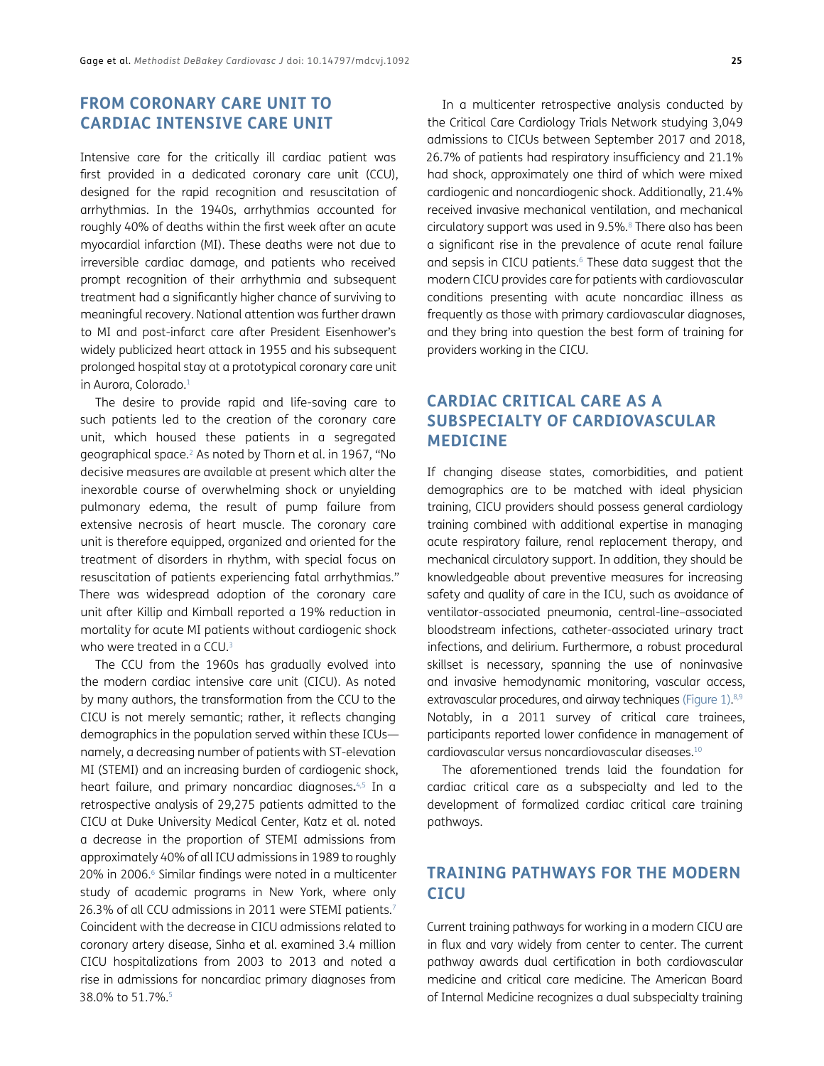# **FROM CORONARY CARE UNIT TO CARDIAC INTENSIVE CARE UNIT**

Intensive care for the critically ill cardiac patient was first provided in a dedicated coronary care unit (CCU), designed for the rapid recognition and resuscitation of arrhythmias. In the 1940s, arrhythmias accounted for roughly 40% of deaths within the first week after an acute myocardial infarction (MI). These deaths were not due to irreversible cardiac damage, and patients who received prompt recognition of their arrhythmia and subsequent treatment had a significantly higher chance of surviving to meaningful recovery. National attention was further drawn to MI and post-infarct care after President Eisenhower's widely publicized heart attack in 1955 and his subsequent prolonged hospital stay at a prototypical coronary care unit in Aurora, Colorado.<sup>[1](#page-4-1)</sup>

The desire to provide rapid and life-saving care to such patients led to the creation of the coronary care unit, which housed these patients in a segregated geographical space.[2](#page-4-2) As noted by Thorn et al. in 1967, "No decisive measures are available at present which alter the inexorable course of overwhelming shock or unyielding pulmonary edema, the result of pump failure from extensive necrosis of heart muscle. The coronary care unit is therefore equipped, organized and oriented for the treatment of disorders in rhythm, with special focus on resuscitation of patients experiencing fatal arrhythmias." There was widespread adoption of the coronary care unit after Killip and Kimball reported a 19% reduction in mortality for acute MI patients without cardiogenic shock who were treated in a CCU.<sup>3</sup>

The CCU from the 1960s has gradually evolved into the modern cardiac intensive care unit (CICU). As noted by many authors, the transformation from the CCU to the CICU is not merely semantic; rather, it reflects changing demographics in the population served within these ICUs namely, a decreasing number of patients with ST-elevation MI (STEMI) and an increasing burden of cardiogenic shock, heart failure, and primary noncardiac diagnoses**.** [4,](#page-4-4)[5](#page-4-5) In a retrospective analysis of 29,275 patients admitted to the CICU at Duke University Medical Center, Katz et al. noted a decrease in the proportion of STEMI admissions from approximately 40% of all ICU admissions in 1989 to roughly 20% in 2006.<sup>6</sup> Similar findings were noted in a multicenter study of academic programs in New York, where only 26.3% of all CCU admissions in 2011 were STEMI patients.<sup>[7](#page-4-7)</sup> Coincident with the decrease in CICU admissions related to coronary artery disease, Sinha et al. examined 3.4 million CICU hospitalizations from 2003 to 2013 and noted a rise in admissions for noncardiac primary diagnoses from 38.0% to 51.7%.<sup>5</sup>

In a multicenter retrospective analysis conducted by the Critical Care Cardiology Trials Network studying 3,049 admissions to CICUs between September 2017 and 2018, 26.7% of patients had respiratory insufficiency and 21.1% had shock, approximately one third of which were mixed cardiogenic and noncardiogenic shock. Additionally, 21.4% received invasive mechanical ventilation, and mechanical circulatory support was used in 9.5%.<sup>8</sup> There also has been a significant rise in the prevalence of acute renal failure and sepsis in CICU patients.<sup>6</sup> These data suggest that the modern CICU provides care for patients with cardiovascular conditions presenting with acute noncardiac illness as frequently as those with primary cardiovascular diagnoses, and they bring into question the best form of training for providers working in the CICU.

# **CARDIAC CRITICAL CARE AS A SUBSPECIALTY OF CARDIOVASCULAR MEDICINE**

If changing disease states, comorbidities, and patient demographics are to be matched with ideal physician training, CICU providers should possess general cardiology training combined with additional expertise in managing acute respiratory failure, renal replacement therapy, and mechanical circulatory support. In addition, they should be knowledgeable about preventive measures for increasing safety and quality of care in the ICU, such as avoidance of ventilator-associated pneumonia, central-line–associated bloodstream infections, catheter-associated urinary tract infections, and delirium. Furthermore, a robust procedural skillset is necessary, spanning the use of noninvasive and invasive hemodynamic monitoring, vascular access, extravascular procedures, and airway techniques [\(Figure 1](#page-2-0)).<sup>[8](#page-4-8)[,9](#page-4-9)</sup> Notably, in a 2011 survey of critical care trainees, participants reported lower confidence in management of cardiovascular versus noncardiovascular diseases.[10](#page-4-10)

The aforementioned trends laid the foundation for cardiac critical care as a subspecialty and led to the development of formalized cardiac critical care training pathways.

# **TRAINING PATHWAYS FOR THE MODERN CICU**

Current training pathways for working in a modern CICU are in flux and vary widely from center to center. The current pathway awards dual certification in both cardiovascular medicine and critical care medicine. The American Board of Internal Medicine recognizes a dual subspecialty training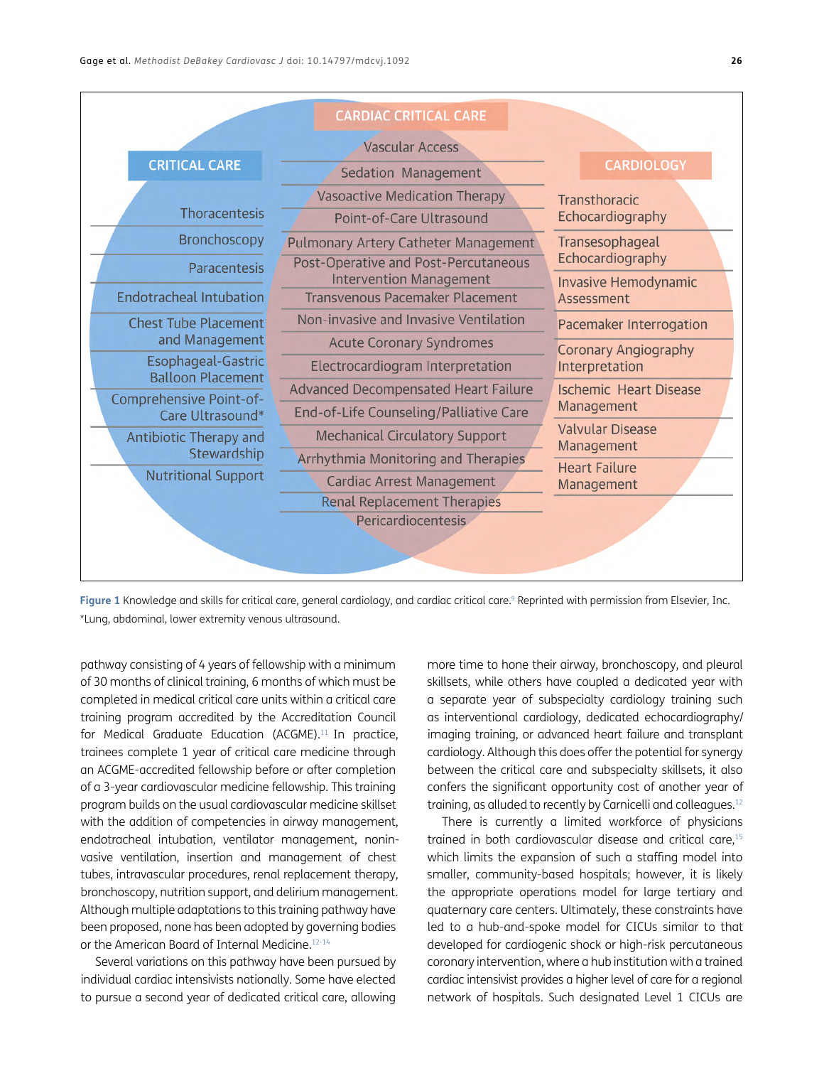|                                                | <b>CARDIAC CRITICAL CARE</b>                                           |                                           |
|------------------------------------------------|------------------------------------------------------------------------|-------------------------------------------|
|                                                | <b>Vascular Access</b>                                                 |                                           |
| <b>CRITICAL CARE</b>                           | Sedation Management                                                    | <b>CARDIOLOGY</b>                         |
|                                                | <b>Vasoactive Medication Therapy</b>                                   | Transthoracic                             |
| Thoracentesis                                  | Point-of-Care Ultrasound                                               | Echocardiography                          |
| <b>Bronchoscopy</b>                            | Pulmonary Artery Catheter Management                                   | Transesophageal                           |
| Paracentesis                                   | Post-Operative and Post-Percutaneous<br><b>Intervention Management</b> | Echocardiography                          |
| <b>Endotracheal Intubation</b>                 | <b>Transvenous Pacemaker Placement</b>                                 | <b>Invasive Hemodynamic</b><br>Assessment |
| <b>Chest Tube Placement</b>                    | Non-invasive and Invasive Ventilation                                  | Pacemaker Interrogation                   |
| and Management                                 | <b>Acute Coronary Syndromes</b>                                        | <b>Coronary Angiography</b>               |
| Esophageal-Gastric<br><b>Balloon Placement</b> | Electrocardiogram Interpretation                                       | Interpretation                            |
| Comprehensive Point-of-                        | <b>Advanced Decompensated Heart Failure</b>                            | <b>Ischemic Heart Disease</b>             |
| Care Ultrasound*                               | End-of-Life Counseling/Palliative Care                                 | Management                                |
| Antibiotic Therapy and                         | <b>Mechanical Circulatory Support</b>                                  | <b>Valvular Disease</b><br>Management     |
| Stewardship                                    | Arrhythmia Monitoring and Therapies                                    | <b>Heart Failure</b>                      |
| <b>Nutritional Support</b>                     | <b>Cardiac Arrest Management</b>                                       | Management                                |
|                                                | <b>Renal Replacement Therapies</b>                                     |                                           |
|                                                | <b>Pericardiocentesis</b>                                              |                                           |
|                                                |                                                                        |                                           |
|                                                |                                                                        |                                           |

<span id="page-2-0"></span>Figure 1 Knowledge and skills for critical care, general cardiology, and cardiac critical care.<sup>9</sup> Reprinted with permission from Elsevier, Inc. \*Lung, abdominal, lower extremity venous ultrasound.

pathway consisting of 4 years of fellowship with a minimum of 30 months of clinical training, 6 months of which must be completed in medical critical care units within a critical care training program accredited by the Accreditation Council for Medical Graduate Education (ACGME).<sup>11</sup> In practice, trainees complete 1 year of critical care medicine through an ACGME-accredited fellowship before or after completion of a 3-year cardiovascular medicine fellowship. This training program builds on the usual cardiovascular medicine skillset with the addition of competencies in airway management, endotracheal intubation, ventilator management, noninvasive ventilation, insertion and management of chest tubes, intravascular procedures, renal replacement therapy, bronchoscopy, nutrition support, and delirium management. Although multiple adaptations to this training pathway have been proposed, none has been adopted by governing bodies or the American Board of Internal Medicine.<sup>[12-](#page-4-12)[14](#page-4-13)</sup>

Several variations on this pathway have been pursued by individual cardiac intensivists nationally. Some have elected to pursue a second year of dedicated critical care, allowing more time to hone their airway, bronchoscopy, and pleural skillsets, while others have coupled a dedicated year with a separate year of subspecialty cardiology training such as interventional cardiology, dedicated echocardiography/ imaging training, or advanced heart failure and transplant cardiology. Although this does offer the potential for synergy between the critical care and subspecialty skillsets, it also confers the significant opportunity cost of another year of training, as alluded to recently by Carnicelli and colleagues[.12](#page-4-12)

There is currently a limited workforce of physicians trained in both cardiovascular disease and critical care,<sup>15</sup> which limits the expansion of such a staffing model into smaller, community-based hospitals; however, it is likely the appropriate operations model for large tertiary and quaternary care centers. Ultimately, these constraints have led to a hub-and-spoke model for CICUs similar to that developed for cardiogenic shock or high-risk percutaneous coronary intervention, where a hub institution with a trained cardiac intensivist provides a higher level of care for a regional network of hospitals. Such designated Level 1 CICUs are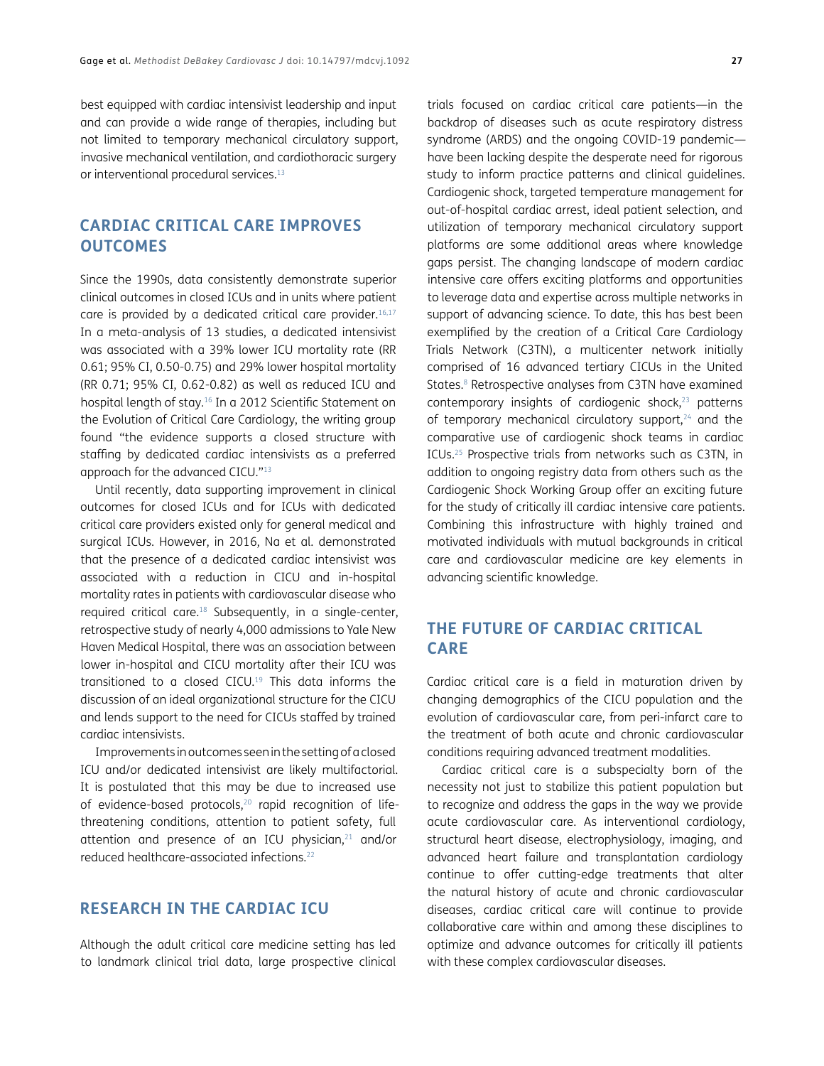best equipped with cardiac intensivist leadership and input and can provide a wide range of therapies, including but not limited to temporary mechanical circulatory support, invasive mechanical ventilation, and cardiothoracic surgery or interventional procedural services.<sup>[13](#page-4-15)</sup>

# **CARDIAC CRITICAL CARE IMPROVES OUTCOMES**

Since the 1990s, data consistently demonstrate superior clinical outcomes in closed ICUs and in units where patient care is provided by a dedicated critical care provider.<sup>16,[17](#page-5-1)</sup> In a meta-analysis of 13 studies, a dedicated intensivist was associated with a 39% lower ICU mortality rate (RR 0.61; 95% CI, 0.50-0.75) and 29% lower hospital mortality (RR 0.71; 95% CI, 0.62-0.82) as well as reduced ICU and hospital length of stay.[16](#page-5-0) In a 2012 Scientific Statement on the Evolution of Critical Care Cardiology, the writing group found "the evidence supports a closed structure with staffing by dedicated cardiac intensivists as a preferred approach for the advanced CICU."[13](#page-4-15)

Until recently, data supporting improvement in clinical outcomes for closed ICUs and for ICUs with dedicated critical care providers existed only for general medical and surgical ICUs. However, in 2016, Na et al. demonstrated that the presence of a dedicated cardiac intensivist was associated with a reduction in CICU and in-hospital mortality rates in patients with cardiovascular disease who required critical care[.18](#page-5-2) Subsequently, in a single-center, retrospective study of nearly 4,000 admissions to Yale New Haven Medical Hospital, there was an association between lower in-hospital and CICU mortality after their ICU was transitioned to a closed CICU[.19](#page-5-3) This data informs the discussion of an ideal organizational structure for the CICU and lends support to the need for CICUs staffed by trained cardiac intensivists.

Improvements in outcomes seen in the setting of a closed ICU and/or dedicated intensivist are likely multifactorial. It is postulated that this may be due to increased use of evidence-based protocols,<sup>20</sup> rapid recognition of lifethreatening conditions, attention to patient safety, full attention and presence of an ICU physician, $21$  and/or reduced healthcare-associated infections.[22](#page-5-6)

## **RESEARCH IN THE CARDIAC ICU**

Although the adult critical care medicine setting has led to landmark clinical trial data, large prospective clinical

trials focused on cardiac critical care patients—in the backdrop of diseases such as acute respiratory distress syndrome (ARDS) and the ongoing COVID-19 pandemic have been lacking despite the desperate need for rigorous study to inform practice patterns and clinical guidelines. Cardiogenic shock, targeted temperature management for out-of-hospital cardiac arrest, ideal patient selection, and utilization of temporary mechanical circulatory support platforms are some additional areas where knowledge gaps persist. The changing landscape of modern cardiac intensive care offers exciting platforms and opportunities to leverage data and expertise across multiple networks in support of advancing science. To date, this has best been exemplified by the creation of a Critical Care Cardiology Trials Network (C3TN), a multicenter network initially comprised of 16 advanced tertiary CICUs in the United States.<sup>8</sup> Retrospective analyses from C3TN have examined contemporary insights of cardiogenic shock, $^{23}$  patterns of temporary mechanical circulatory support,<sup>[24](#page-5-8)</sup> and the comparative use of cardiogenic shock teams in cardiac ICUs[.25](#page-5-9) Prospective trials from networks such as C3TN, in addition to ongoing registry data from others such as the Cardiogenic Shock Working Group offer an exciting future for the study of critically ill cardiac intensive care patients. Combining this infrastructure with highly trained and motivated individuals with mutual backgrounds in critical care and cardiovascular medicine are key elements in advancing scientific knowledge.

# **THE FUTURE OF CARDIAC CRITICAL CARE**

Cardiac critical care is a field in maturation driven by changing demographics of the CICU population and the evolution of cardiovascular care, from peri-infarct care to the treatment of both acute and chronic cardiovascular conditions requiring advanced treatment modalities.

Cardiac critical care is a subspecialty born of the necessity not just to stabilize this patient population but to recognize and address the gaps in the way we provide acute cardiovascular care. As interventional cardiology, structural heart disease, electrophysiology, imaging, and advanced heart failure and transplantation cardiology continue to offer cutting-edge treatments that alter the natural history of acute and chronic cardiovascular diseases, cardiac critical care will continue to provide collaborative care within and among these disciplines to optimize and advance outcomes for critically ill patients with these complex cardiovascular diseases.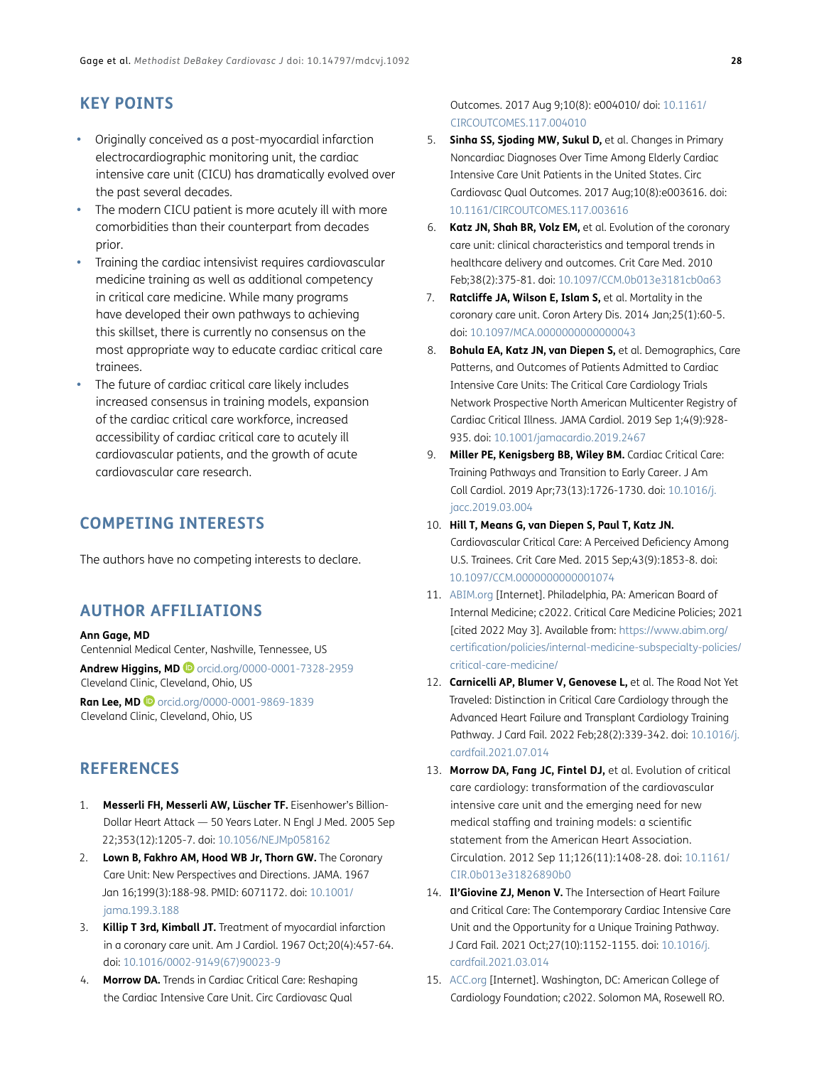# **KEY POINTS**

- **•**  Originally conceived as a post-myocardial infarction electrocardiographic monitoring unit, the cardiac intensive care unit (CICU) has dramatically evolved over the past several decades.
- The modern CICU patient is more acutely ill with more comorbidities than their counterpart from decades prior.
- Training the cardiac intensivist requires cardiovascular medicine training as well as additional competency in critical care medicine. While many programs have developed their own pathways to achieving this skillset, there is currently no consensus on the most appropriate way to educate cardiac critical care trainees.
- The future of cardiac critical care likely includes increased consensus in training models, expansion of the cardiac critical care workforce, increased accessibility of cardiac critical care to acutely ill cardiovascular patients, and the growth of acute cardiovascular care research.

## **COMPETING INTERESTS**

The authors have no competing interests to declare.

## <span id="page-4-0"></span>**AUTHOR AFFILIATIONS**

#### **Ann Gage, MD**

Centennial Medical Center, Nashville, Tennessee, US **Andrew Higgins, MD** [orcid.org/0000-0001-7328-2959](http://orcid.org/0000-0001-7328-2959) Cleveland Clinic, Cleveland, Ohio, US

**Ran Lee, MD D** [orcid.org/0000-0001-9869-1839](https:orcid.org/0000-0001-9869-1839) Cleveland Clinic, Cleveland, Ohio, US

## **REFERENCES**

- <span id="page-4-1"></span>1. **Messerli FH, Messerli AW, Lüscher TF.** Eisenhower's Billion-Dollar Heart Attack — 50 Years Later. N Engl J Med. 2005 Sep 22;353(12):1205-7. doi: [10.1056/NEJMp058162](https://doi.org/10.1056/NEJMp058162)
- <span id="page-4-2"></span>2. **Lown B, Fakhro AM, Hood WB Jr, Thorn GW.** The Coronary Care Unit: New Perspectives and Directions. JAMA. 1967 Jan 16;199(3):188-98. PMID: 6071172. doi: [10.1001/](https://doi.org/10.1001/jama.199.3.188) [jama.199.3.188](https://doi.org/10.1001/jama.199.3.188)
- <span id="page-4-3"></span>3. **Killip T 3rd, Kimball JT.** Treatment of myocardial infarction in a coronary care unit. Am J Cardiol. 1967 Oct;20(4):457-64. doi: [10.1016/0002-9149\(67\)90023-9](https://doi.org/10.1016/0002-9149(67)90023-9)
- <span id="page-4-4"></span>4. **Morrow DA.** Trends in Cardiac Critical Care: Reshaping the Cardiac Intensive Care Unit. Circ Cardiovasc Qual

Outcomes. 2017 Aug 9;10(8): e004010/ doi: [10.1161/](https://doi.org/10.1161/CIRCOUTCOMES.117.004010) [CIRCOUTCOMES.117.004010](https://doi.org/10.1161/CIRCOUTCOMES.117.004010)

- <span id="page-4-5"></span>5. **Sinha SS, Sjoding MW, Sukul D,** et al. Changes in Primary Noncardiac Diagnoses Over Time Among Elderly Cardiac Intensive Care Unit Patients in the United States. Circ Cardiovasc Qual Outcomes. 2017 Aug;10(8):e003616. doi: [10.1161/CIRCOUTCOMES.117.003616](https://doi.org/10.1161/CIRCOUTCOMES.117.003616)
- <span id="page-4-6"></span>6. **Katz JN, Shah BR, Volz EM,** et al. Evolution of the coronary care unit: clinical characteristics and temporal trends in healthcare delivery and outcomes. Crit Care Med. 2010 Feb;38(2):375-81. doi: [10.1097/CCM.0b013e3181cb0a63](https://doi.org/10.1097/CCM.0b013e3181cb0a63)
- <span id="page-4-7"></span>7. **Ratcliffe JA, Wilson E, Islam S,** et al. Mortality in the coronary care unit. Coron Artery Dis. 2014 Jan;25(1):60-5. doi: [10.1097/MCA.0000000000000043](https://doi.org/10.1097/MCA.0000000000000043)
- <span id="page-4-8"></span>8. **Bohula EA, Katz JN, van Diepen S,** et al. Demographics, Care Patterns, and Outcomes of Patients Admitted to Cardiac Intensive Care Units: The Critical Care Cardiology Trials Network Prospective North American Multicenter Registry of Cardiac Critical Illness. JAMA Cardiol. 2019 Sep 1;4(9):928- 935. doi: [10.1001/jamacardio.2019.2467](https://doi.org/10.1001/jamacardio.2019.2467)
- <span id="page-4-9"></span>9. **Miller PE, Kenigsberg BB, Wiley BM.** Cardiac Critical Care: Training Pathways and Transition to Early Career. J Am Coll Cardiol. 2019 Apr;73(13):1726-1730. doi: [10.1016/j.](https://doi.org/10.1016/j.jacc.2019.03.004) [jacc.2019.03.004](https://doi.org/10.1016/j.jacc.2019.03.004)
- <span id="page-4-10"></span>10. **Hill T, Means G, van Diepen S, Paul T, Katz JN.**  Cardiovascular Critical Care: A Perceived Deficiency Among U.S. Trainees. Crit Care Med. 2015 Sep;43(9):1853-8. doi: [10.1097/CCM.0000000000001074](https://doi.org/10.1097/CCM.0000000000001074)
- <span id="page-4-11"></span>11. [ABIM.org](http://ABIM.org) [Internet]. Philadelphia, PA: American Board of Internal Medicine; c2022. Critical Care Medicine Policies; 2021 [cited 2022 May 3]. Available from: [https://www.abim.org/](https://www.abim.org/certification/policies/internal-medicine-subspecialty-policies/critical-care-medicine/ ) [certification/policies/internal-medicine-subspecialty-policies/](https://www.abim.org/certification/policies/internal-medicine-subspecialty-policies/critical-care-medicine/ ) [critical-care-medicine/](https://www.abim.org/certification/policies/internal-medicine-subspecialty-policies/critical-care-medicine/ )
- <span id="page-4-12"></span>12. **Carnicelli AP, Blumer V, Genovese L,** et al. The Road Not Yet Traveled: Distinction in Critical Care Cardiology through the Advanced Heart Failure and Transplant Cardiology Training Pathway. J Card Fail. 2022 Feb;28(2):339-342. doi: [10.1016/j.](https://doi.org/10.1016/j.cardfail.2021.07.014) [cardfail.2021.07.014](https://doi.org/10.1016/j.cardfail.2021.07.014)
- <span id="page-4-15"></span>13. **Morrow DA, Fang JC, Fintel DJ,** et al. Evolution of critical care cardiology: transformation of the cardiovascular intensive care unit and the emerging need for new medical staffing and training models: a scientific statement from the American Heart Association. Circulation. 2012 Sep 11;126(11):1408-28. doi: [10.1161/](https://doi.org/10.1161/CIR.0b013e31826890b0) [CIR.0b013e31826890b0](https://doi.org/10.1161/CIR.0b013e31826890b0)
- <span id="page-4-13"></span>14. **Il'Giovine ZJ, Menon V.** The Intersection of Heart Failure and Critical Care: The Contemporary Cardiac Intensive Care Unit and the Opportunity for a Unique Training Pathway. J Card Fail. 2021 Oct;27(10):1152-1155. doi: [10.1016/j.](https://doi.org/10.1016/j.cardfail.2021.03.014) [cardfail.2021.03.014](https://doi.org/10.1016/j.cardfail.2021.03.014)
- <span id="page-4-14"></span>15. [ACC.org](https://acc.org/) [Internet]. Washington, DC: American College of Cardiology Foundation; c2022. Solomon MA, Rosewell RO.